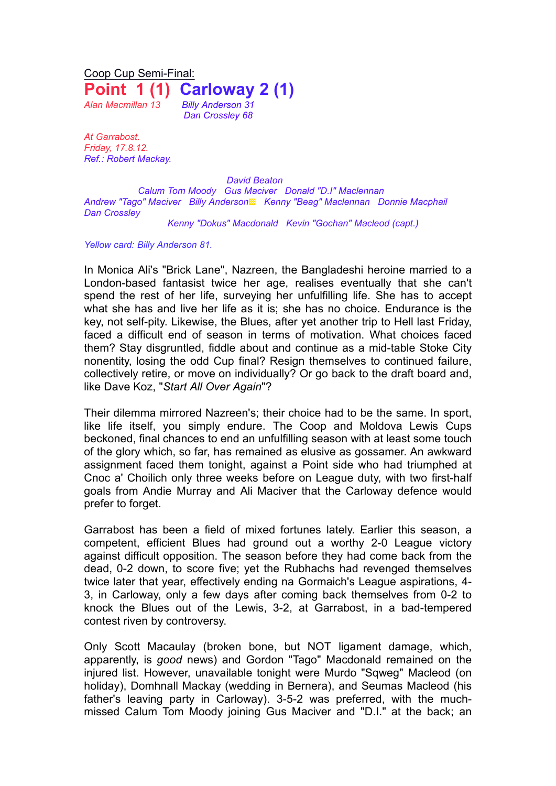Coop Cup Semi-Final: **Point 1 (1) Carloway 2 (1)** *Alan Macmillan 13 Billy Anderson 31*

*Dan Crossley 68*

*At Garrabost. Friday, 17.8.12. Ref.: Robert Mackay.*

*David Beaton Calum Tom Moody Gus Maciver Donald "D.I" Maclennan Andrew "Tago" Maciver Billy Anderson*▩ *Kenny "Beag" Maclennan Donnie Macphail Dan Crossley*

*Kenny "Dokus" Macdonald Kevin "Gochan" Macleod (capt.)*

*Yellow card: Billy Anderson 81.*

In Monica Ali's "Brick Lane", Nazreen, the Bangladeshi heroine married to a London-based fantasist twice her age, realises eventually that she can't spend the rest of her life, surveying her unfulfilling life. She has to accept what she has and live her life as it is; she has no choice. Endurance is the key, not self-pity. Likewise, the Blues, after yet another trip to Hell last Friday, faced a difficult end of season in terms of motivation. What choices faced them? Stay disgruntled, fiddle about and continue as a mid-table Stoke City nonentity, losing the odd Cup final? Resign themselves to continued failure, collectively retire, or move on individually? Or go back to the draft board and, like Dave Koz, "*Start All Over Again*"?

Their dilemma mirrored Nazreen's; their choice had to be the same. In sport, like life itself, you simply endure. The Coop and Moldova Lewis Cups beckoned, final chances to end an unfulfilling season with at least some touch of the glory which, so far, has remained as elusive as gossamer. An awkward assignment faced them tonight, against a Point side who had triumphed at Cnoc a' Choilich only three weeks before on League duty, with two first-half goals from Andie Murray and Ali Maciver that the Carloway defence would prefer to forget.

Garrabost has been a field of mixed fortunes lately. Earlier this season, a competent, efficient Blues had ground out a worthy 2-0 League victory against difficult opposition. The season before they had come back from the dead, 0-2 down, to score five; yet the Rubhachs had revenged themselves twice later that year, effectively ending na Gormaich's League aspirations, 4- 3, in Carloway, only a few days after coming back themselves from 0-2 to knock the Blues out of the Lewis, 3-2, at Garrabost, in a bad-tempered contest riven by controversy.

Only Scott Macaulay (broken bone, but NOT ligament damage, which, apparently, is *good* news) and Gordon "Tago" Macdonald remained on the injured list. However, unavailable tonight were Murdo "Sqweg" Macleod (on holiday), Domhnall Mackay (wedding in Bernera), and Seumas Macleod (his father's leaving party in Carloway). 3-5-2 was preferred, with the muchmissed Calum Tom Moody joining Gus Maciver and "D.I." at the back; an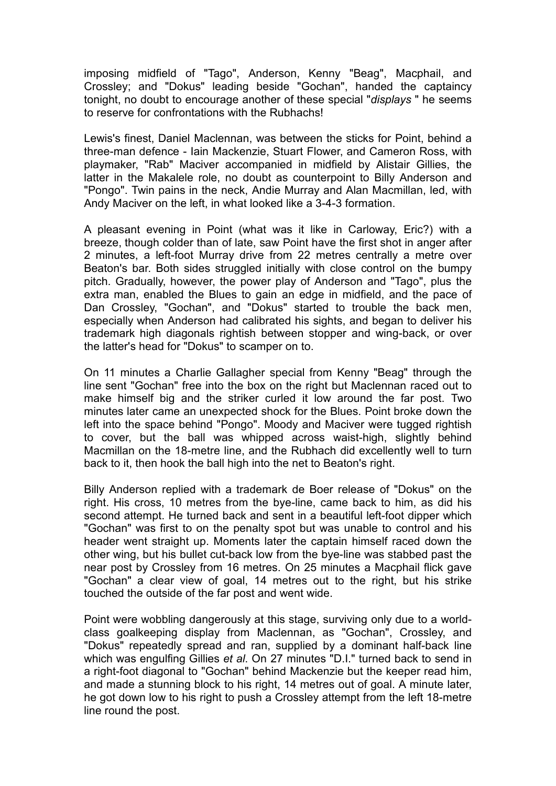imposing midfield of "Tago", Anderson, Kenny "Beag", Macphail, and Crossley; and "Dokus" leading beside "Gochan", handed the captaincy tonight, no doubt to encourage another of these special "*displays* " he seems to reserve for confrontations with the Rubhachs!

Lewis's finest, Daniel Maclennan, was between the sticks for Point, behind a three-man defence - Iain Mackenzie, Stuart Flower, and Cameron Ross, with playmaker, "Rab" Maciver accompanied in midfield by Alistair Gillies, the latter in the Makalele role, no doubt as counterpoint to Billy Anderson and "Pongo". Twin pains in the neck, Andie Murray and Alan Macmillan, led, with Andy Maciver on the left, in what looked like a 3-4-3 formation.

A pleasant evening in Point (what was it like in Carloway, Eric?) with a breeze, though colder than of late, saw Point have the first shot in anger after 2 minutes, a left-foot Murray drive from 22 metres centrally a metre over Beaton's bar. Both sides struggled initially with close control on the bumpy pitch. Gradually, however, the power play of Anderson and "Tago", plus the extra man, enabled the Blues to gain an edge in midfield, and the pace of Dan Crossley, "Gochan", and "Dokus" started to trouble the back men, especially when Anderson had calibrated his sights, and began to deliver his trademark high diagonals rightish between stopper and wing-back, or over the latter's head for "Dokus" to scamper on to.

On 11 minutes a Charlie Gallagher special from Kenny "Beag" through the line sent "Gochan" free into the box on the right but Maclennan raced out to make himself big and the striker curled it low around the far post. Two minutes later came an unexpected shock for the Blues. Point broke down the left into the space behind "Pongo". Moody and Maciver were tugged rightish to cover, but the ball was whipped across waist-high, slightly behind Macmillan on the 18-metre line, and the Rubhach did excellently well to turn back to it, then hook the ball high into the net to Beaton's right.

Billy Anderson replied with a trademark de Boer release of "Dokus" on the right. His cross, 10 metres from the bye-line, came back to him, as did his second attempt. He turned back and sent in a beautiful left-foot dipper which "Gochan" was first to on the penalty spot but was unable to control and his header went straight up. Moments later the captain himself raced down the other wing, but his bullet cut-back low from the bye-line was stabbed past the near post by Crossley from 16 metres. On 25 minutes a Macphail flick gave "Gochan" a clear view of goal, 14 metres out to the right, but his strike touched the outside of the far post and went wide.

Point were wobbling dangerously at this stage, surviving only due to a worldclass goalkeeping display from Maclennan, as "Gochan", Crossley, and "Dokus" repeatedly spread and ran, supplied by a dominant half-back line which was engulfing Gillies *et al*. On 27 minutes "D.I." turned back to send in a right-foot diagonal to "Gochan" behind Mackenzie but the keeper read him, and made a stunning block to his right, 14 metres out of goal. A minute later, he got down low to his right to push a Crossley attempt from the left 18-metre line round the post.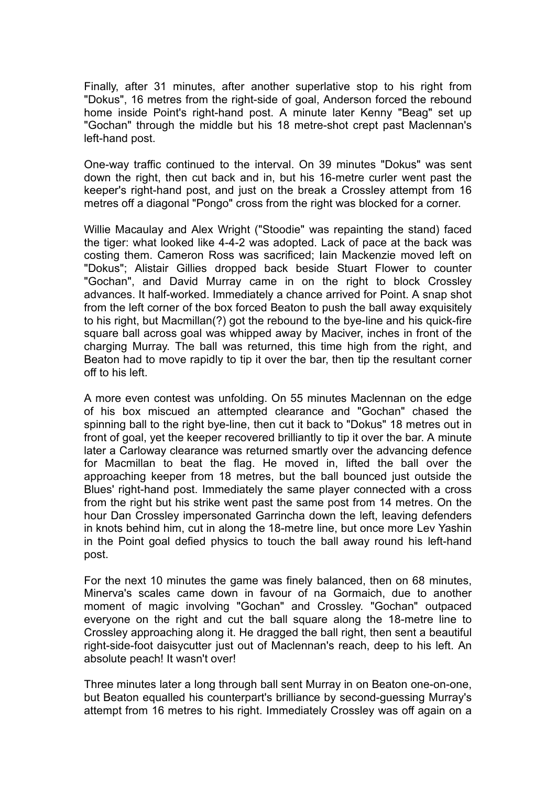Finally, after 31 minutes, after another superlative stop to his right from "Dokus", 16 metres from the right-side of goal, Anderson forced the rebound home inside Point's right-hand post. A minute later Kenny "Beag" set up "Gochan" through the middle but his 18 metre-shot crept past Maclennan's left-hand post.

One-way traffic continued to the interval. On 39 minutes "Dokus" was sent down the right, then cut back and in, but his 16-metre curler went past the keeper's right-hand post, and just on the break a Crossley attempt from 16 metres off a diagonal "Pongo" cross from the right was blocked for a corner.

Willie Macaulay and Alex Wright ("Stoodie" was repainting the stand) faced the tiger: what looked like 4-4-2 was adopted. Lack of pace at the back was costing them. Cameron Ross was sacrificed; Iain Mackenzie moved left on "Dokus"; Alistair Gillies dropped back beside Stuart Flower to counter "Gochan", and David Murray came in on the right to block Crossley advances. It half-worked. Immediately a chance arrived for Point. A snap shot from the left corner of the box forced Beaton to push the ball away exquisitely to his right, but Macmillan(?) got the rebound to the bye-line and his quick-fire square ball across goal was whipped away by Maciver, inches in front of the charging Murray. The ball was returned, this time high from the right, and Beaton had to move rapidly to tip it over the bar, then tip the resultant corner off to his left.

A more even contest was unfolding. On 55 minutes Maclennan on the edge of his box miscued an attempted clearance and "Gochan" chased the spinning ball to the right bye-line, then cut it back to "Dokus" 18 metres out in front of goal, yet the keeper recovered brilliantly to tip it over the bar. A minute later a Carloway clearance was returned smartly over the advancing defence for Macmillan to beat the flag. He moved in, lifted the ball over the approaching keeper from 18 metres, but the ball bounced just outside the Blues' right-hand post. Immediately the same player connected with a cross from the right but his strike went past the same post from 14 metres. On the hour Dan Crossley impersonated Garrincha down the left, leaving defenders in knots behind him, cut in along the 18-metre line, but once more Lev Yashin in the Point goal defied physics to touch the ball away round his left-hand post.

For the next 10 minutes the game was finely balanced, then on 68 minutes, Minerva's scales came down in favour of na Gormaich, due to another moment of magic involving "Gochan" and Crossley. "Gochan" outpaced everyone on the right and cut the ball square along the 18-metre line to Crossley approaching along it. He dragged the ball right, then sent a beautiful right-side-foot daisycutter just out of Maclennan's reach, deep to his left. An absolute peach! It wasn't over!

Three minutes later a long through ball sent Murray in on Beaton one-on-one, but Beaton equalled his counterpart's brilliance by second-guessing Murray's attempt from 16 metres to his right. Immediately Crossley was off again on a